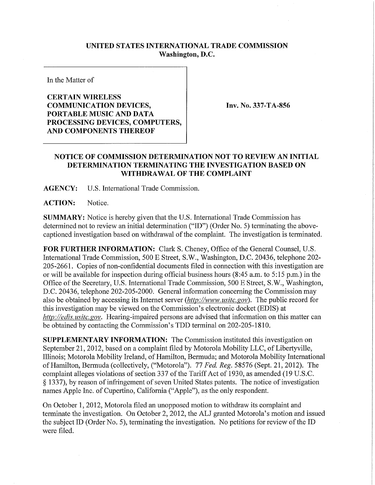## **UNITED STATES INTERNATIONAL TRADE COMMISSION Washington, D.C.**

In the Matter of

## **CERTAIN WIRELESS COMMUNICATION DEVICES, PORTABLE MUSIC AND DATA PROCESSING DEVICES, COMPUTERS, AND COMPONENTS THEREOF**

**Inv. No. 337-TA-856** 

## **NOTICE OF COMMISSION DETERMINATION NOT TO REVIEW AN INITIAL DETERMINATION TERMINATING THE INVESTIGATION BASED ON WITHDRAWAL OF THE COMPLAINT**

**AGENCY:** U.S. International Trade Commission.

**ACTION:** Notice.

**SUMMARY:** Notice is hereby given that the U.S. International Trade Commission has determined not to review an initial determination ("ID") (Order No. 5) terminating the abovecaptioned investigation based on withdrawal of the complaint. The investigation is terminated.

FOR FURTHER INFORMATION: Clark S. Cheney, Office of the General Counsel, U.S. International Trade Commission, 500 E Street, S.W., Washington, D.C. 20436, telephone 202- 205-2661. Copies of non-confidential documents filed in connection with this investigation are or will be available for inspection during official business hours (8:45 a.m. to 5:15 p.m.) in the Office of the Secretary, U.S. International Trade Commission, 500 E Street, S.W., Washington, D.C. 20436, telephone 202-205-2000. General information concerning the Commission may also be obtained by accessing its Internet server *(http://www, usitc.gov).* The public record for this investigation may be viewed on the Commission's electronic docket (EDIS) at *http://edis. usitc. gov.* Hearing-impaired persons are advised that information on this matter can be obtained by contacting the Commission's TDD terminal on 202-205-1810.

**SUPPLEMENTARY INFORMATION:** The Commission instituted this investigation on September 21, 2012, based on a complaint filed by Motorola Mobility LLC, of Libertyville, Illinois; Motorola Mobility Ireland, of Hamilton, Bermuda; and Motorola Mobility International of Hamilton, Bermuda (collectively, ("Motorola"). 77 *Fed. Reg.* 58576 (Sept. 21, 2012). The complaint alleges violations of section 337 of the Tariff Act of 1930, as amended (19 U.S.C. § 1337), by reason of infringement of seven United States patents. The notice of investigation names Apple Inc. of Cupertino, California ("Apple"), as the only respondent.

On October 1,2012, Motorola filed an unopposed motion to withdraw its complaint and terminate the investigation. On October 2, 2012, the ALJ granted Motorola's motion and issued the subject ID (Order No. 5), terminating the investigation. No petitions for review of the ID were filed.